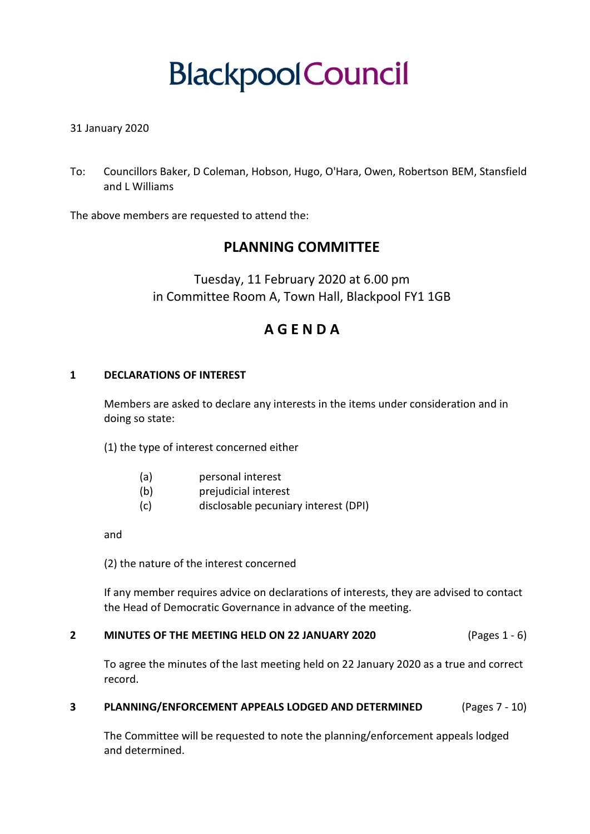# **BlackpoolCouncil**

# 31 January 2020

To: Councillors Baker, D Coleman, Hobson, Hugo, O'Hara, Owen, Robertson BEM, Stansfield and L Williams

The above members are requested to attend the:

# **PLANNING COMMITTEE**

Tuesday, 11 February 2020 at 6.00 pm in Committee Room A, Town Hall, Blackpool FY1 1GB

# **A G E N D A**

## **1 DECLARATIONS OF INTEREST**

Members are asked to declare any interests in the items under consideration and in doing so state:

(1) the type of interest concerned either

- (a) personal interest
- (b) prejudicial interest
- (c) disclosable pecuniary interest (DPI)

and

(2) the nature of the interest concerned

If any member requires advice on declarations of interests, they are advised to contact the Head of Democratic Governance in advance of the meeting.

#### **2 MINUTES OF THE MEETING HELD ON 22 JANUARY 2020** (Pages 1 - 6)

To agree the minutes of the last meeting held on 22 January 2020 as a true and correct record.

#### **3 PLANNING/ENFORCEMENT APPEALS LODGED AND DETERMINED** (Pages 7 - 10)

The Committee will be requested to note the planning/enforcement appeals lodged and determined.